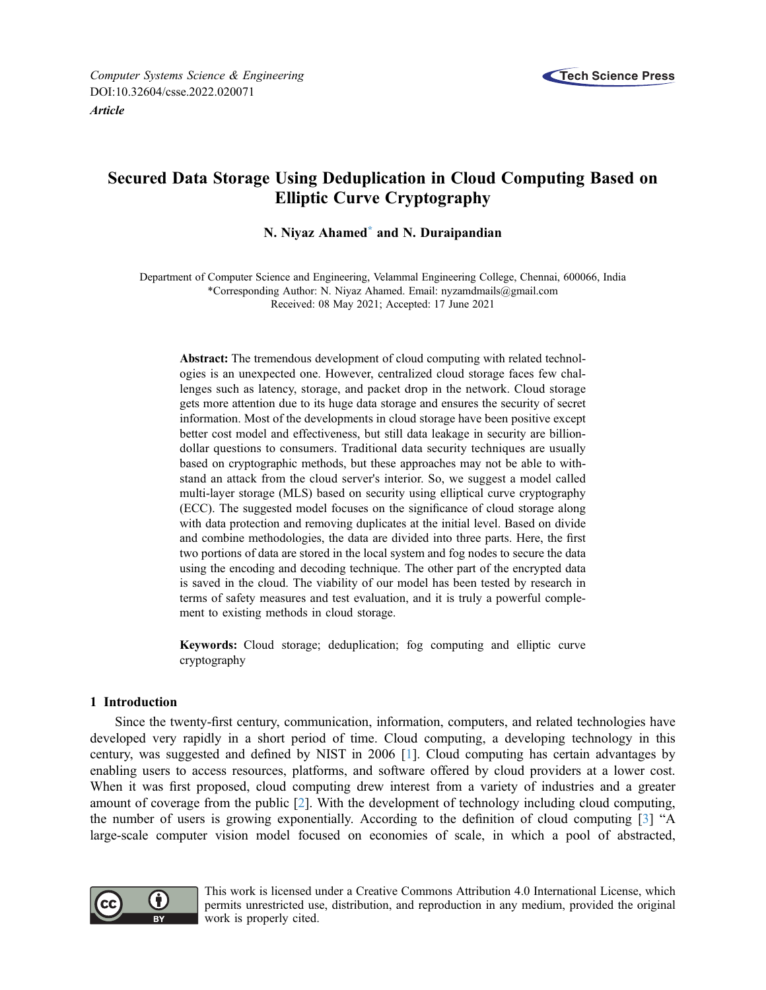

# Secured Data Storage Using Deduplication in Cloud Computing Based on Elliptic Curve Cryptography

# N. Niyaz Ahamed[\\*](#page-0-0) and N. Duraipandian

<span id="page-0-0"></span>Department of Computer Science and Engineering, Velammal Engineering College, Chennai, 600066, India \*Corresponding Author: N. Niyaz Ahamed. Email: [nyzamdmails@gmail.com](mailto:nyzamdmails@gmail.com) Received: 08 May 2021; Accepted: 17 June 2021

Abstract: The tremendous development of cloud computing with related technologies is an unexpected one. However, centralized cloud storage faces few challenges such as latency, storage, and packet drop in the network. Cloud storage gets more attention due to its huge data storage and ensures the security of secret information. Most of the developments in cloud storage have been positive except better cost model and effectiveness, but still data leakage in security are billiondollar questions to consumers. Traditional data security techniques are usually based on cryptographic methods, but these approaches may not be able to withstand an attack from the cloud server's interior. So, we suggest a model called multi-layer storage (MLS) based on security using elliptical curve cryptography (ECC). The suggested model focuses on the significance of cloud storage along with data protection and removing duplicates at the initial level. Based on divide and combine methodologies, the data are divided into three parts. Here, the first two portions of data are stored in the local system and fog nodes to secure the data using the encoding and decoding technique. The other part of the encrypted data is saved in the cloud. The viability of our model has been tested by research in terms of safety measures and test evaluation, and it is truly a powerful complement to existing methods in cloud storage.

Keywords: Cloud storage; deduplication; fog computing and elliptic curve cryptography

# 1 Introduction

Since the twenty-first century, communication, information, computers, and related technologies have developed very rapidly in a short period of time. Cloud computing, a developing technology in this century, was suggested and defined by NIST in 2006 [\[1\]](#page-11-0). Cloud computing has certain advantages by enabling users to access resources, platforms, and software offered by cloud providers at a lower cost. When it was first proposed, cloud computing drew interest from a variety of industries and a greater amount of coverage from the public [\[2\]](#page-11-1). With the development of technology including cloud computing, the number of users is growing exponentially. According to the definition of cloud computing [[3](#page-11-2)] "A large-scale computer vision model focused on economies of scale, in which a pool of abstracted,



This work is licensed under a Creative Commons Attribution 4.0 International License, which permits unrestricted use, distribution, and reproduction in any medium, provided the original work is properly cited.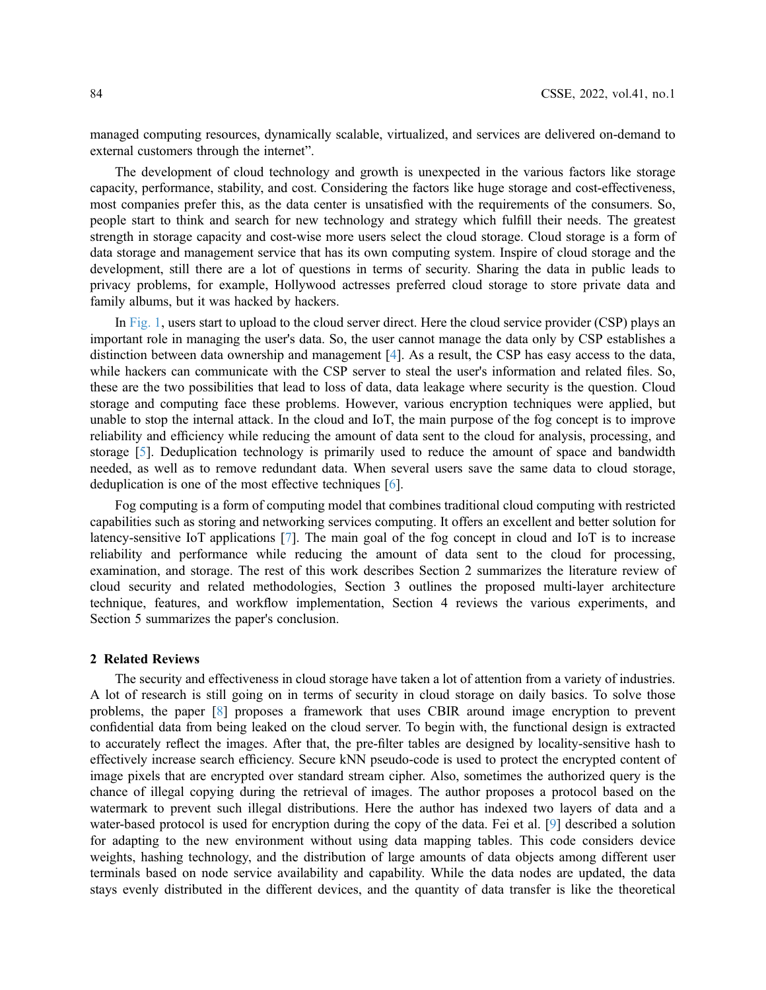managed computing resources, dynamically scalable, virtualized, and services are delivered on-demand to external customers through the internet".

The development of cloud technology and growth is unexpected in the various factors like storage capacity, performance, stability, and cost. Considering the factors like huge storage and cost-effectiveness, most companies prefer this, as the data center is unsatisfied with the requirements of the consumers. So, people start to think and search for new technology and strategy which fulfill their needs. The greatest strength in storage capacity and cost-wise more users select the cloud storage. Cloud storage is a form of data storage and management service that has its own computing system. Inspire of cloud storage and the development, still there are a lot of questions in terms of security. Sharing the data in public leads to privacy problems, for example, Hollywood actresses preferred cloud storage to store private data and family albums, but it was hacked by hackers.

In [Fig. 1,](#page-2-0) users start to upload to the cloud server direct. Here the cloud service provider (CSP) plays an important role in managing the user's data. So, the user cannot manage the data only by CSP establishes a distinction between data ownership and management [[4](#page-11-3)]. As a result, the CSP has easy access to the data, while hackers can communicate with the CSP server to steal the user's information and related files. So, these are the two possibilities that lead to loss of data, data leakage where security is the question. Cloud storage and computing face these problems. However, various encryption techniques were applied, but unable to stop the internal attack. In the cloud and IoT, the main purpose of the fog concept is to improve reliability and efficiency while reducing the amount of data sent to the cloud for analysis, processing, and storage [[5](#page-11-4)]. Deduplication technology is primarily used to reduce the amount of space and bandwidth needed, as well as to remove redundant data. When several users save the same data to cloud storage, deduplication is one of the most effective techniques [\[6\]](#page-11-5).

Fog computing is a form of computing model that combines traditional cloud computing with restricted capabilities such as storing and networking services computing. It offers an excellent and better solution for latency-sensitive IoT applications [[7](#page-11-6)]. The main goal of the fog concept in cloud and IoT is to increase reliability and performance while reducing the amount of data sent to the cloud for processing, examination, and storage. The rest of this work describes Section 2 summarizes the literature review of cloud security and related methodologies, Section 3 outlines the proposed multi-layer architecture technique, features, and workflow implementation, Section 4 reviews the various experiments, and Section 5 summarizes the paper's conclusion.

# 2 Related Reviews

The security and effectiveness in cloud storage have taken a lot of attention from a variety of industries. A lot of research is still going on in terms of security in cloud storage on daily basics. To solve those problems, the paper [\[8\]](#page-11-7) proposes a framework that uses CBIR around image encryption to prevent confidential data from being leaked on the cloud server. To begin with, the functional design is extracted to accurately reflect the images. After that, the pre-filter tables are designed by locality-sensitive hash to effectively increase search efficiency. Secure kNN pseudo-code is used to protect the encrypted content of image pixels that are encrypted over standard stream cipher. Also, sometimes the authorized query is the chance of illegal copying during the retrieval of images. The author proposes a protocol based on the watermark to prevent such illegal distributions. Here the author has indexed two layers of data and a water-based protocol is used for encryption during the copy of the data. Fei et al. [\[9\]](#page-11-8) described a solution for adapting to the new environment without using data mapping tables. This code considers device weights, hashing technology, and the distribution of large amounts of data objects among different user terminals based on node service availability and capability. While the data nodes are updated, the data stays evenly distributed in the different devices, and the quantity of data transfer is like the theoretical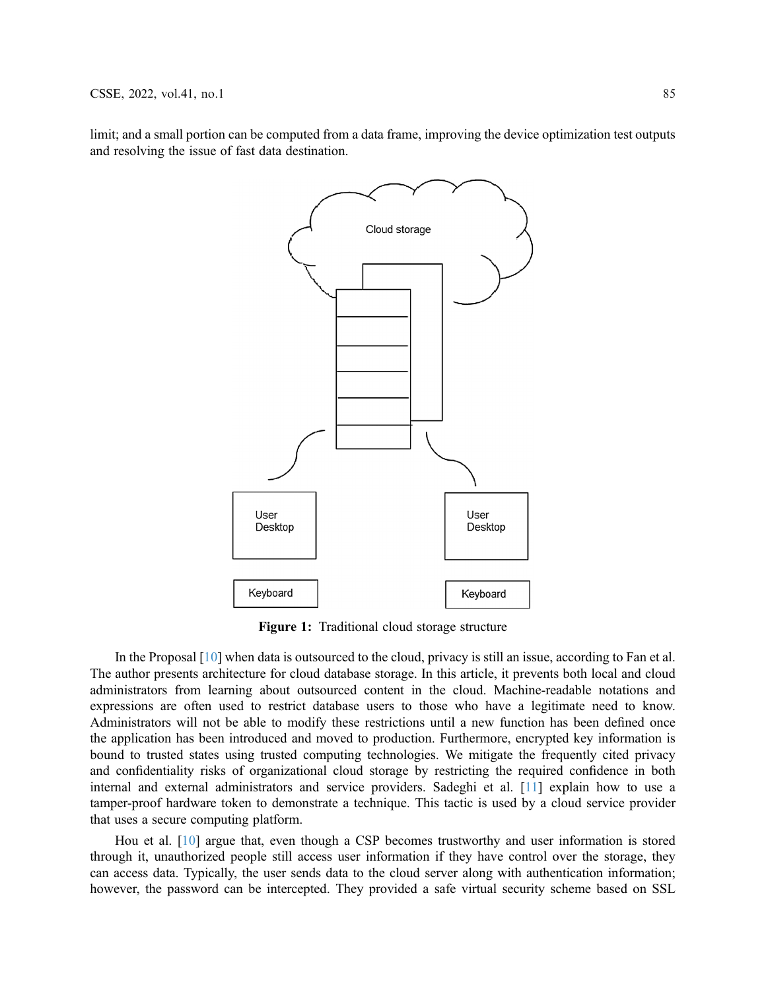<span id="page-2-0"></span>limit; and a small portion can be computed from a data frame, improving the device optimization test outputs and resolving the issue of fast data destination.



Figure 1: Traditional cloud storage structure

In the Proposal [\[10\]](#page-11-9) when data is outsourced to the cloud, privacy is still an issue, according to Fan et al. The author presents architecture for cloud database storage. In this article, it prevents both local and cloud administrators from learning about outsourced content in the cloud. Machine-readable notations and expressions are often used to restrict database users to those who have a legitimate need to know. Administrators will not be able to modify these restrictions until a new function has been defined once the application has been introduced and moved to production. Furthermore, encrypted key information is bound to trusted states using trusted computing technologies. We mitigate the frequently cited privacy and confidentiality risks of organizational cloud storage by restricting the required confidence in both internal and external administrators and service providers. Sadeghi et al. [[11](#page-11-10)] explain how to use a tamper-proof hardware token to demonstrate a technique. This tactic is used by a cloud service provider that uses a secure computing platform.

Hou et al. [\[10](#page-11-9)] argue that, even though a CSP becomes trustworthy and user information is stored through it, unauthorized people still access user information if they have control over the storage, they can access data. Typically, the user sends data to the cloud server along with authentication information; however, the password can be intercepted. They provided a safe virtual security scheme based on SSL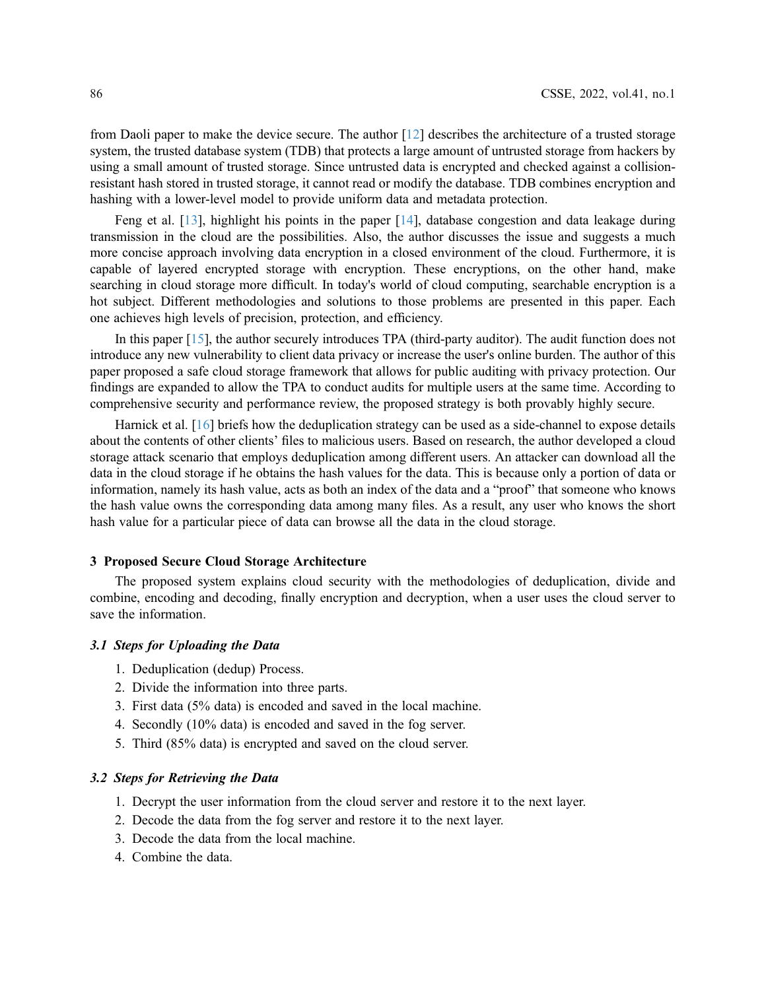from Daoli paper to make the device secure. The author [[12\]](#page-11-11) describes the architecture of a trusted storage system, the trusted database system (TDB) that protects a large amount of untrusted storage from hackers by using a small amount of trusted storage. Since untrusted data is encrypted and checked against a collisionresistant hash stored in trusted storage, it cannot read or modify the database. TDB combines encryption and hashing with a lower-level model to provide uniform data and metadata protection.

Feng et al.  $[13]$  $[13]$ , highlight his points in the paper  $[14]$  $[14]$ , database congestion and data leakage during transmission in the cloud are the possibilities. Also, the author discusses the issue and suggests a much more concise approach involving data encryption in a closed environment of the cloud. Furthermore, it is capable of layered encrypted storage with encryption. These encryptions, on the other hand, make searching in cloud storage more difficult. In today's world of cloud computing, searchable encryption is a hot subject. Different methodologies and solutions to those problems are presented in this paper. Each one achieves high levels of precision, protection, and efficiency.

In this paper [[15](#page-11-14)], the author securely introduces TPA (third-party auditor). The audit function does not introduce any new vulnerability to client data privacy or increase the user's online burden. The author of this paper proposed a safe cloud storage framework that allows for public auditing with privacy protection. Our findings are expanded to allow the TPA to conduct audits for multiple users at the same time. According to comprehensive security and performance review, the proposed strategy is both provably highly secure.

Harnick et al. [[16\]](#page-11-15) briefs how the deduplication strategy can be used as a side-channel to expose details about the contents of other clients' files to malicious users. Based on research, the author developed a cloud storage attack scenario that employs deduplication among different users. An attacker can download all the data in the cloud storage if he obtains the hash values for the data. This is because only a portion of data or information, namely its hash value, acts as both an index of the data and a "proof" that someone who knows the hash value owns the corresponding data among many files. As a result, any user who knows the short hash value for a particular piece of data can browse all the data in the cloud storage.

#### 3 Proposed Secure Cloud Storage Architecture

The proposed system explains cloud security with the methodologies of deduplication, divide and combine, encoding and decoding, finally encryption and decryption, when a user uses the cloud server to save the information.

#### 3.1 Steps for Uploading the Data

- 1. Deduplication (dedup) Process.
- 2. Divide the information into three parts.
- 3. First data (5% data) is encoded and saved in the local machine.
- 4. Secondly (10% data) is encoded and saved in the fog server.
- 5. Third (85% data) is encrypted and saved on the cloud server.

## 3.2 Steps for Retrieving the Data

- 1. Decrypt the user information from the cloud server and restore it to the next layer.
- 2. Decode the data from the fog server and restore it to the next layer.
- 3. Decode the data from the local machine.
- 4. Combine the data.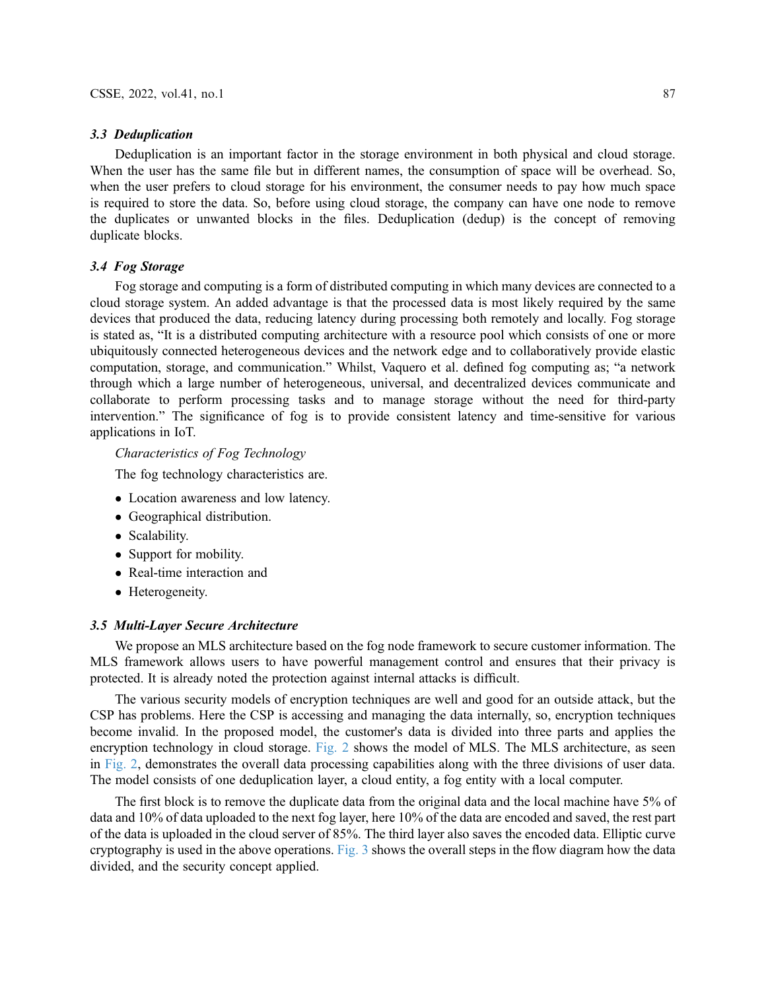#### 3.3 Deduplication

Deduplication is an important factor in the storage environment in both physical and cloud storage. When the user has the same file but in different names, the consumption of space will be overhead. So, when the user prefers to cloud storage for his environment, the consumer needs to pay how much space is required to store the data. So, before using cloud storage, the company can have one node to remove the duplicates or unwanted blocks in the files. Deduplication (dedup) is the concept of removing duplicate blocks.

## 3.4 Fog Storage

Fog storage and computing is a form of distributed computing in which many devices are connected to a cloud storage system. An added advantage is that the processed data is most likely required by the same devices that produced the data, reducing latency during processing both remotely and locally. Fog storage is stated as, "It is a distributed computing architecture with a resource pool which consists of one or more ubiquitously connected heterogeneous devices and the network edge and to collaboratively provide elastic computation, storage, and communication." Whilst, Vaquero et al. defined fog computing as; "a network through which a large number of heterogeneous, universal, and decentralized devices communicate and collaborate to perform processing tasks and to manage storage without the need for third-party intervention." The significance of fog is to provide consistent latency and time-sensitive for various applications in IoT.

Characteristics of Fog Technology

The fog technology characteristics are.

- Location awareness and low latency.
- Geographical distribution.
- Scalability.
- Support for mobility.
- Real-time interaction and
- Heterogeneity.

# 3.5 Multi-Layer Secure Architecture

We propose an MLS architecture based on the fog node framework to secure customer information. The MLS framework allows users to have powerful management control and ensures that their privacy is protected. It is already noted the protection against internal attacks is difficult.

The various security models of encryption techniques are well and good for an outside attack, but the CSP has problems. Here the CSP is accessing and managing the data internally, so, encryption techniques become invalid. In the proposed model, the customer's data is divided into three parts and applies the encryption technology in cloud storage. [Fig. 2](#page-5-0) shows the model of MLS. The MLS architecture, as seen in [Fig. 2](#page-5-0), demonstrates the overall data processing capabilities along with the three divisions of user data. The model consists of one deduplication layer, a cloud entity, a fog entity with a local computer.

The first block is to remove the duplicate data from the original data and the local machine have 5% of data and 10% of data uploaded to the next fog layer, here 10% of the data are encoded and saved, the rest part of the data is uploaded in the cloud server of 85%. The third layer also saves the encoded data. Elliptic curve cryptography is used in the above operations. [Fig. 3](#page-5-1) shows the overall steps in the flow diagram how the data divided, and the security concept applied.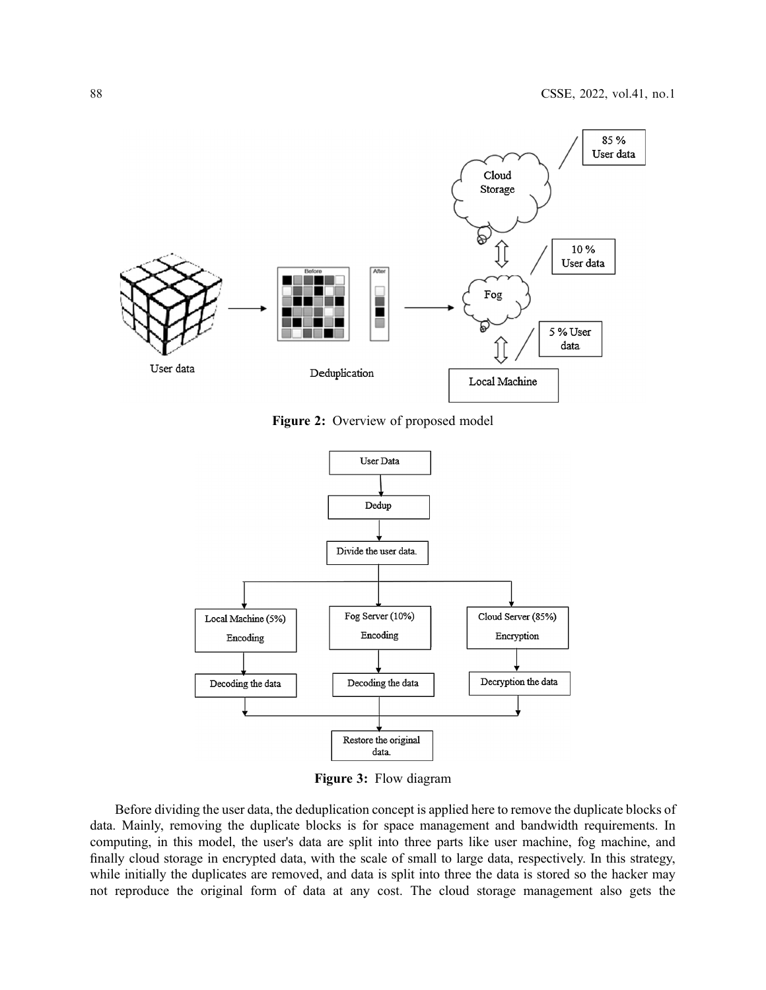<span id="page-5-0"></span>

Figure 2: Overview of proposed model

<span id="page-5-1"></span>

Figure 3: Flow diagram

Before dividing the user data, the deduplication concept is applied here to remove the duplicate blocks of data. Mainly, removing the duplicate blocks is for space management and bandwidth requirements. In computing, in this model, the user's data are split into three parts like user machine, fog machine, and finally cloud storage in encrypted data, with the scale of small to large data, respectively. In this strategy, while initially the duplicates are removed, and data is split into three the data is stored so the hacker may not reproduce the original form of data at any cost. The cloud storage management also gets the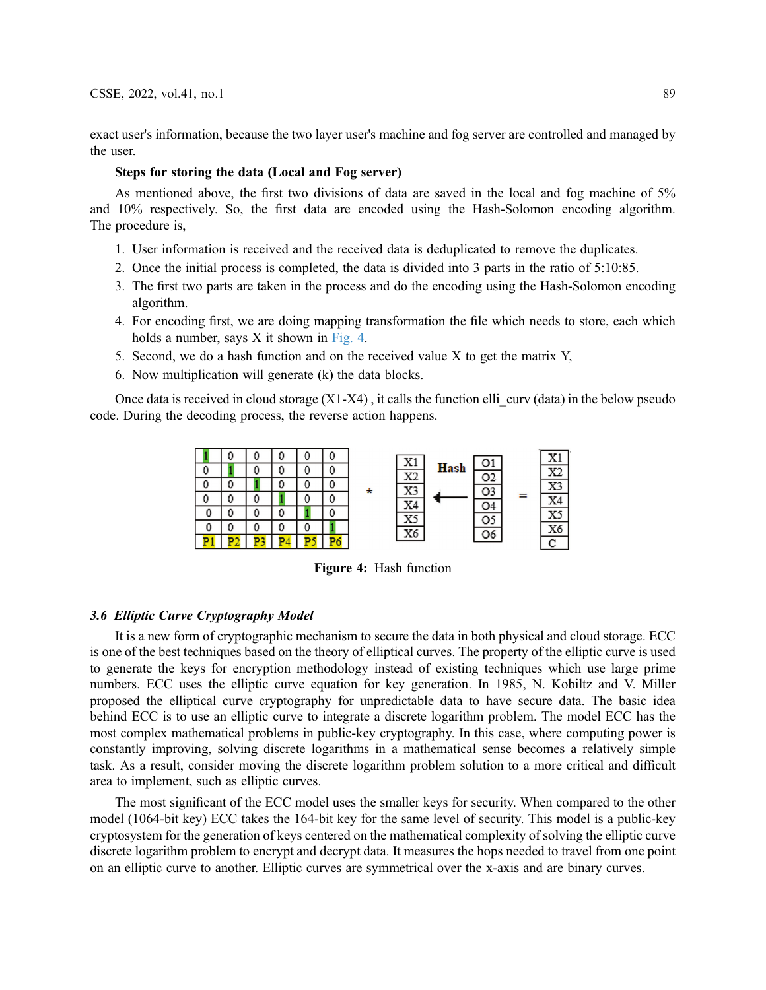exact user's information, because the two layer user's machine and fog server are controlled and managed by the user.

## Steps for storing the data (Local and Fog server)

As mentioned above, the first two divisions of data are saved in the local and fog machine of 5% and 10% respectively. So, the first data are encoded using the Hash-Solomon encoding algorithm. The procedure is,

- 1. User information is received and the received data is deduplicated to remove the duplicates.
- 2. Once the initial process is completed, the data is divided into 3 parts in the ratio of 5:10:85.
- 3. The first two parts are taken in the process and do the encoding using the Hash-Solomon encoding algorithm.
- 4. For encoding first, we are doing mapping transformation the file which needs to store, each which holds a number, says X it shown in [Fig. 4](#page-6-0).
- 5. Second, we do a hash function and on the received value X to get the matrix Y,
- 6. Now multiplication will generate (k) the data blocks.

<span id="page-6-0"></span>Once data is received in cloud storage  $(X1-X4)$ , it calls the function elli curv (data) in the below pseudo code. During the decoding process, the reverse action happens.



Figure 4: Hash function

#### 3.6 Elliptic Curve Cryptography Model

It is a new form of cryptographic mechanism to secure the data in both physical and cloud storage. ECC is one of the best techniques based on the theory of elliptical curves. The property of the elliptic curve is used to generate the keys for encryption methodology instead of existing techniques which use large prime numbers. ECC uses the elliptic curve equation for key generation. In 1985, N. Kobiltz and V. Miller proposed the elliptical curve cryptography for unpredictable data to have secure data. The basic idea behind ECC is to use an elliptic curve to integrate a discrete logarithm problem. The model ECC has the most complex mathematical problems in public-key cryptography. In this case, where computing power is constantly improving, solving discrete logarithms in a mathematical sense becomes a relatively simple task. As a result, consider moving the discrete logarithm problem solution to a more critical and difficult area to implement, such as elliptic curves.

The most significant of the ECC model uses the smaller keys for security. When compared to the other model (1064-bit key) ECC takes the 164-bit key for the same level of security. This model is a public-key cryptosystem for the generation of keys centered on the mathematical complexity of solving the elliptic curve discrete logarithm problem to encrypt and decrypt data. It measures the hops needed to travel from one point on an elliptic curve to another. Elliptic curves are symmetrical over the x-axis and are binary curves.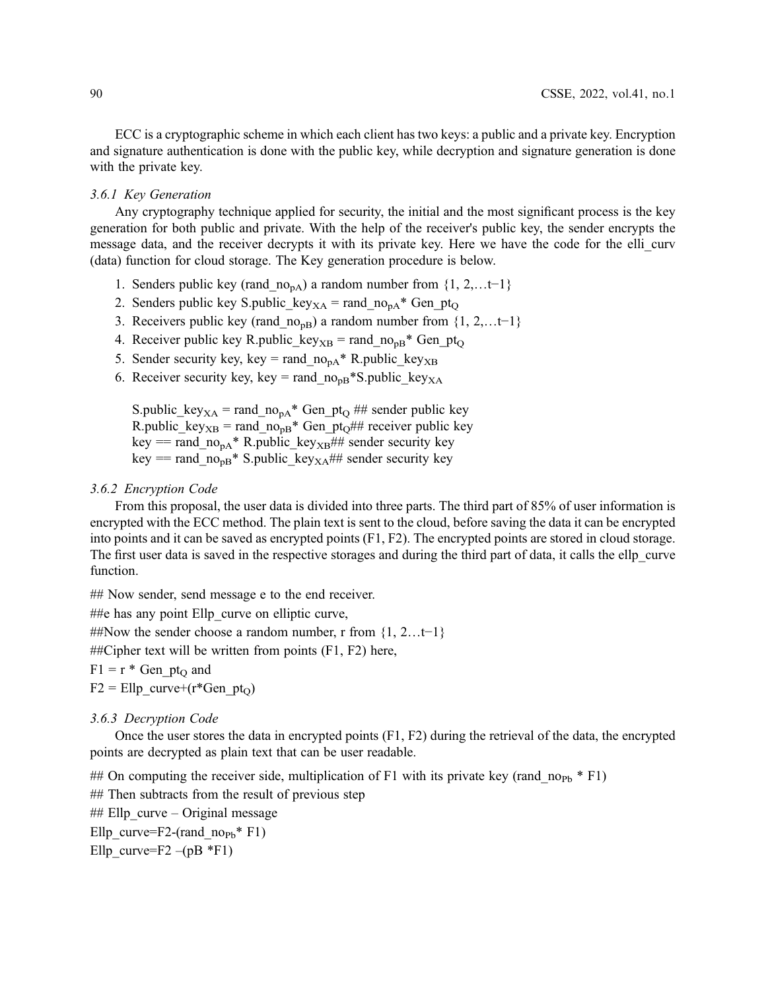ECC is a cryptographic scheme in which each client has two keys: a public and a private key. Encryption and signature authentication is done with the public key, while decryption and signature generation is done with the private key.

#### 3.6.1 Key Generation

Any cryptography technique applied for security, the initial and the most significant process is the key generation for both public and private. With the help of the receiver's public key, the sender encrypts the message data, and the receiver decrypts it with its private key. Here we have the code for the elli\_curv (data) function for cloud storage. The Key generation procedure is below.

- 1. Senders public key (rand  $no<sub>pA</sub>$ ) a random number from {1, 2,…t−1}
- 2. Senders public key S.public key<sub>XA</sub> = rand  $no<sub>pa</sub>* Gen pt<sub>O</sub>$
- 3. Receivers public key (rand  $no<sub>pB</sub>$ ) a random number from {1, 2,…t−1}
- 4. Receiver public key R.public key<sub>XB</sub> = rand  $no_{pB}^*$  Gen pt<sub>O</sub>
- 5. Sender security key, key = rand  $no_{pA}^*$  R.public key<sub>XB</sub>
- 6. Receiver security key, key = rand  $no<sub>pB</sub>*S.public key<sub>XA</sub>$

S.public\_key<sub>XA</sub> = rand\_no<sub>pA</sub>\* Gen\_pt<sub>Q</sub> ## sender public key R.public\_key<sub>XB</sub> = rand\_no<sub>pB</sub>\* Gen\_pt<sub>O</sub>## receiver public key key == rand  $no_{pA}^*$  R.public key<sub>XB</sub>## sender security key key == rand  $no_{pB}$ \* S.public key<sub>XA</sub>## sender security key

#### 3.6.2 Encryption Code

From this proposal, the user data is divided into three parts. The third part of 85% of user information is encrypted with the ECC method. The plain text is sent to the cloud, before saving the data it can be encrypted into points and it can be saved as encrypted points (F1, F2). The encrypted points are stored in cloud storage. The first user data is saved in the respective storages and during the third part of data, it calls the ellp\_curve function.

## Now sender, send message e to the end receiver.

##e has any point Ellp curve on elliptic curve,

##Now the sender choose a random number, r from {1, 2…t−1}

 $\#$ Eipher text will be written from points (F1, F2) here,

 $F1 = r * Gen pt<sub>O</sub> and$ 

 $F2 = Ellp$  curve+(r\*Gen pt<sub>O</sub>)

3.6.3 Decryption Code

Once the user stores the data in encrypted points (F1, F2) during the retrieval of the data, the encrypted points are decrypted as plain text that can be user readable.

## On computing the receiver side, multiplication of F1 with its private key (rand  $no_{Pb} * F1$ )

## Then subtracts from the result of previous step

## Ellp  $curve - Original message$ 

Ellp curve=F2-(rand  $\text{no}_{\text{Pb}}$ <sup>\*</sup> F1)

Ellp curve=F2 –(pB  $*F1$ )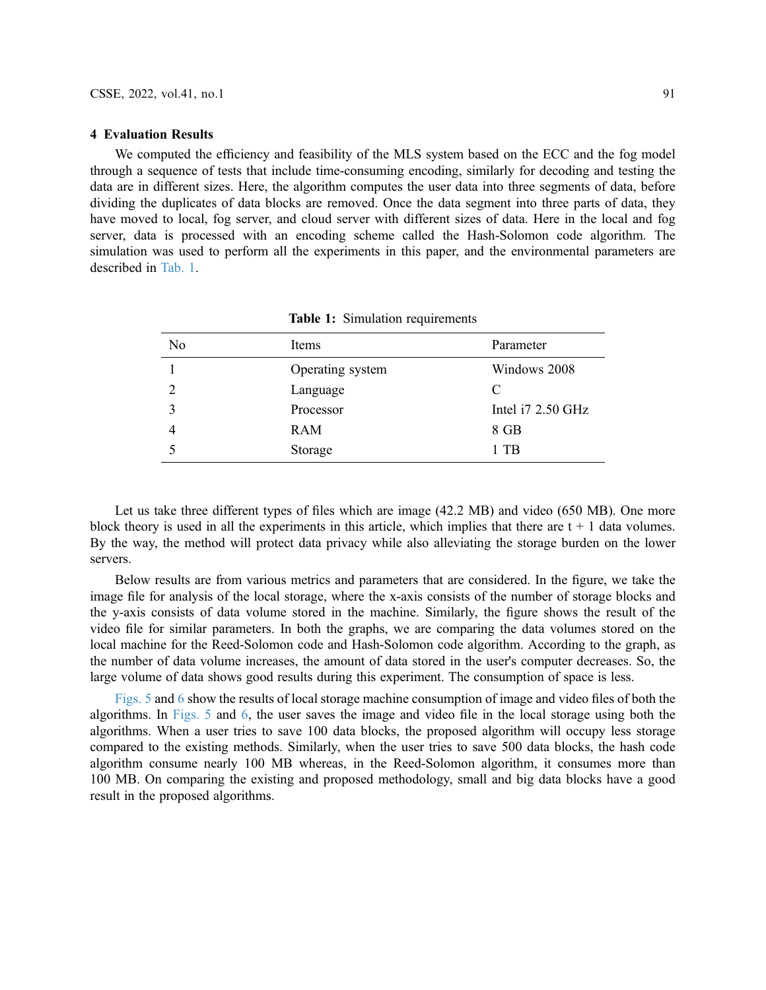#### 4 Evaluation Results

We computed the efficiency and feasibility of the MLS system based on the ECC and the fog model through a sequence of tests that include time-consuming encoding, similarly for decoding and testing the data are in different sizes. Here, the algorithm computes the user data into three segments of data, before dividing the duplicates of data blocks are removed. Once the data segment into three parts of data, they have moved to local, fog server, and cloud server with different sizes of data. Here in the local and fog server, data is processed with an encoding scheme called the Hash-Solomon code algorithm. The simulation was used to perform all the experiments in this paper, and the environmental parameters are described in [Tab. 1](#page-8-0).

<span id="page-8-0"></span>

| No | Items            | Parameter         |
|----|------------------|-------------------|
|    | Operating system | Windows 2008      |
|    | Language         | C                 |
|    | Processor        | Intel i7 2.50 GHz |
|    | <b>RAM</b>       | 8 GB              |
|    | Storage          | 1 TB              |

Table 1: Simulation requirements

Let us take three different types of files which are image (42.2 MB) and video (650 MB). One more block theory is used in all the experiments in this article, which implies that there are  $t + 1$  data volumes. By the way, the method will protect data privacy while also alleviating the storage burden on the lower servers.

Below results are from various metrics and parameters that are considered. In the figure, we take the image file for analysis of the local storage, where the x-axis consists of the number of storage blocks and the y-axis consists of data volume stored in the machine. Similarly, the figure shows the result of the video file for similar parameters. In both the graphs, we are comparing the data volumes stored on the local machine for the Reed-Solomon code and Hash-Solomon code algorithm. According to the graph, as the number of data volume increases, the amount of data stored in the user's computer decreases. So, the large volume of data shows good results during this experiment. The consumption of space is less.

[Figs. 5](#page-9-0) and [6](#page-9-1) show the results of local storage machine consumption of image and video files of both the algorithms. In [Figs. 5](#page-9-0) and [6](#page-9-1), the user saves the image and video file in the local storage using both the algorithms. When a user tries to save 100 data blocks, the proposed algorithm will occupy less storage compared to the existing methods. Similarly, when the user tries to save 500 data blocks, the hash code algorithm consume nearly 100 MB whereas, in the Reed-Solomon algorithm, it consumes more than 100 MB. On comparing the existing and proposed methodology, small and big data blocks have a good result in the proposed algorithms.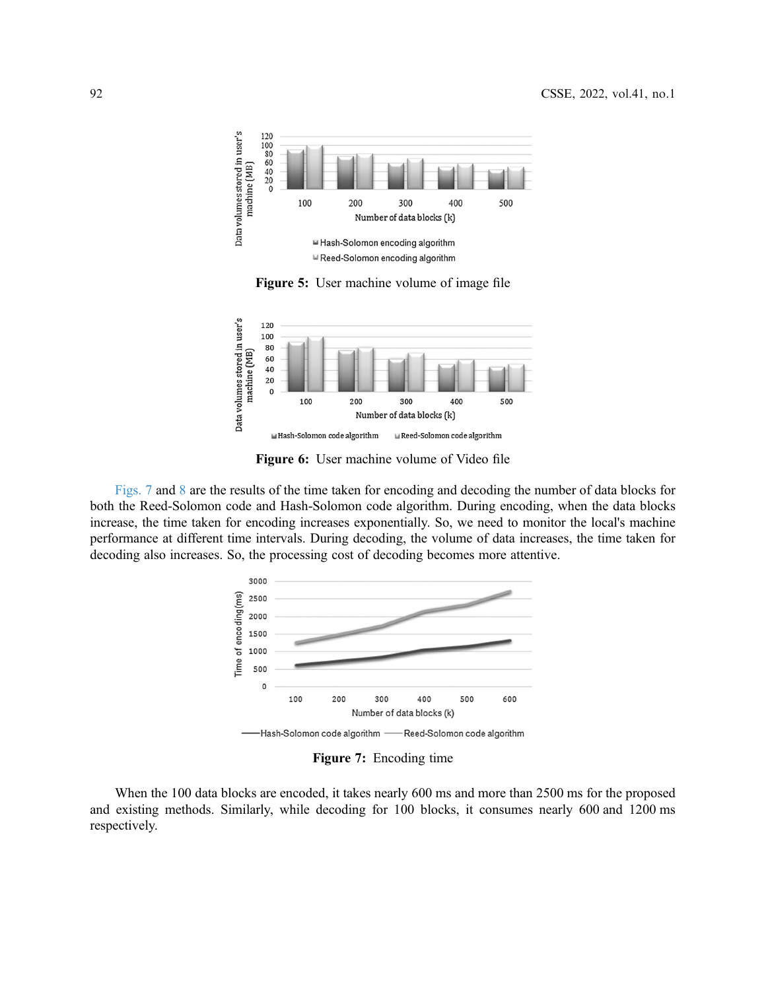<span id="page-9-0"></span>

Figure 5: User machine volume of image file

<span id="page-9-1"></span>

Figure 6: User machine volume of Video file

<span id="page-9-2"></span>[Figs. 7](#page-9-2) and [8](#page-10-0) are the results of the time taken for encoding and decoding the number of data blocks for both the Reed-Solomon code and Hash-Solomon code algorithm. During encoding, when the data blocks increase, the time taken for encoding increases exponentially. So, we need to monitor the local's machine performance at different time intervals. During decoding, the volume of data increases, the time taken for decoding also increases. So, the processing cost of decoding becomes more attentive.



Figure 7: Encoding time

When the 100 data blocks are encoded, it takes nearly 600 ms and more than 2500 ms for the proposed and existing methods. Similarly, while decoding for 100 blocks, it consumes nearly 600 and 1200 ms respectively.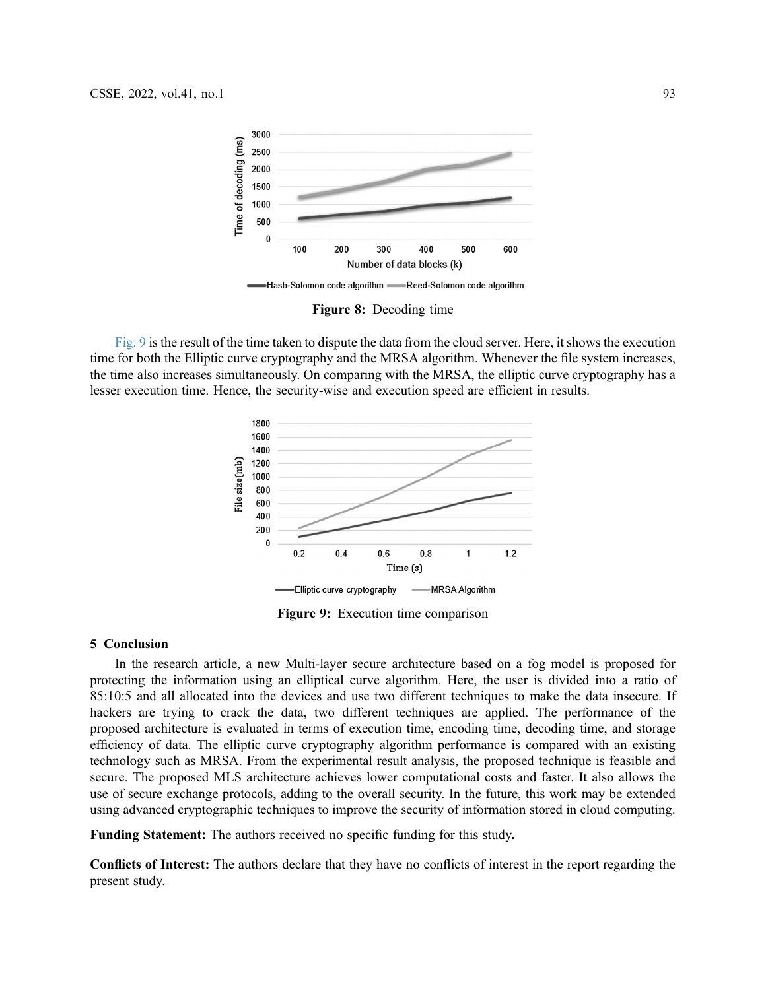<span id="page-10-0"></span>

Figure 8: Decoding time

<span id="page-10-1"></span>[Fig. 9](#page-10-1) is the result of the time taken to dispute the data from the cloud server. Here, it shows the execution time for both the Elliptic curve cryptography and the MRSA algorithm. Whenever the file system increases, the time also increases simultaneously. On comparing with the MRSA, the elliptic curve cryptography has a lesser execution time. Hence, the security-wise and execution speed are efficient in results.



Figure 9: Execution time comparison

#### 5 Conclusion

In the research article, a new Multi-layer secure architecture based on a fog model is proposed for protecting the information using an elliptical curve algorithm. Here, the user is divided into a ratio of 85:10:5 and all allocated into the devices and use two different techniques to make the data insecure. If hackers are trying to crack the data, two different techniques are applied. The performance of the proposed architecture is evaluated in terms of execution time, encoding time, decoding time, and storage efficiency of data. The elliptic curve cryptography algorithm performance is compared with an existing technology such as MRSA. From the experimental result analysis, the proposed technique is feasible and secure. The proposed MLS architecture achieves lower computational costs and faster. It also allows the use of secure exchange protocols, adding to the overall security. In the future, this work may be extended using advanced cryptographic techniques to improve the security of information stored in cloud computing.

Funding Statement: The authors received no specific funding for this study.

Conflicts of Interest: The authors declare that they have no conflicts of interest in the report regarding the present study.